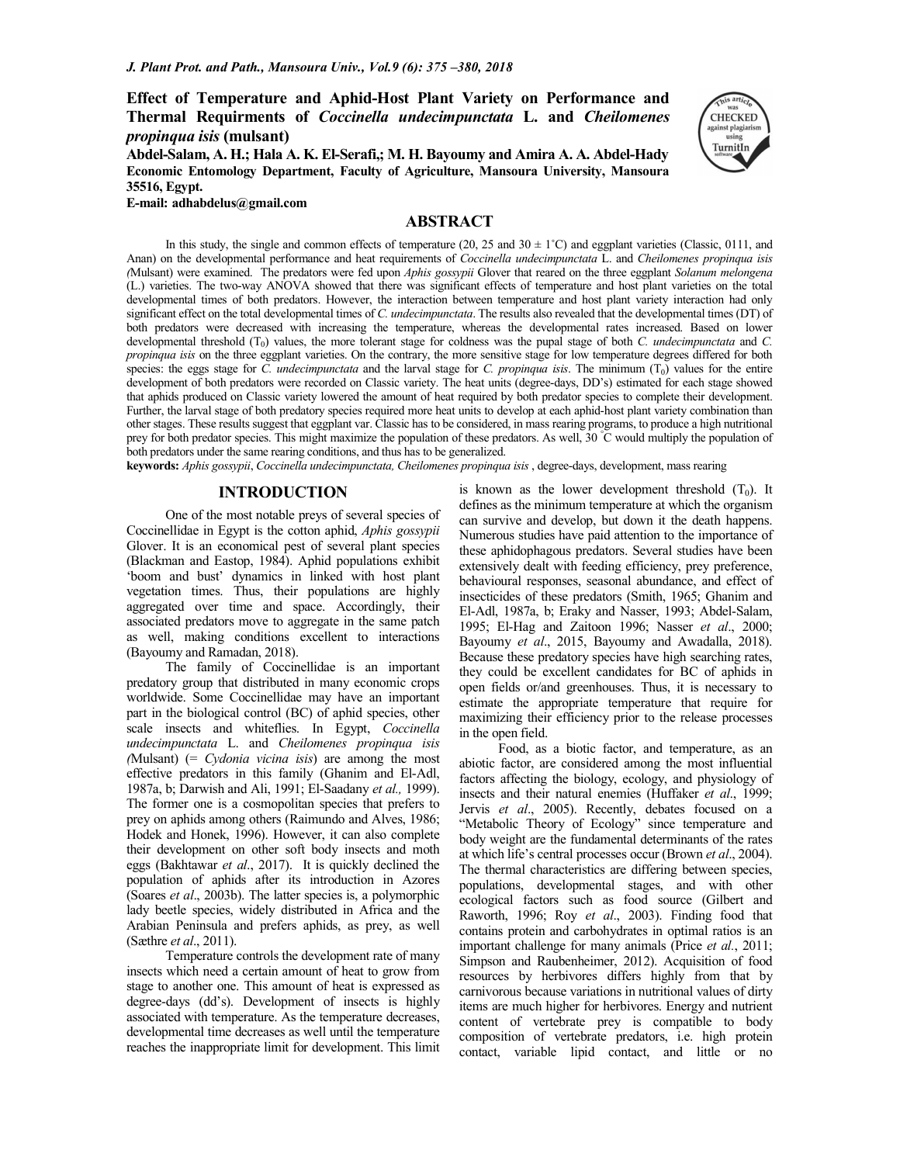## **Effect of Temperature and Aphid-Host Plant Variety on Performance and Thermal Requirments of** *Coccinella undecimpunctata* **L. and** *Cheilomenes propinqua isis* **(mulsant)**

**Abdel-Salam, A. H.; Hala A. K. El-Serafi,; M. H. Bayoumy and Amira A. A. Abdel-Hady Economic Entomology Department, Faculty of Agriculture, Mansoura University, Mansoura 35516, Egypt.** 



**E-mail: adhabdelus@gmail.com**

## **ABSTRACT**

In this study, the single and common effects of temperature (20, 25 and 30  $\pm$  1°C) and eggplant varieties (Classic, 0111, and Anan) on the developmental performance and heat requirements of *Coccinella undecimpunctata* L. and *Cheilomenes propinqua isis (*Mulsant) were examined. The predators were fed upon *Aphis gossypii* Glover that reared on the three eggplant *Solanum melongena* (L.) varieties. The two-way ANOVA showed that there was significant effects of temperature and host plant varieties on the total developmental times of both predators. However, the interaction between temperature and host plant variety interaction had only significant effect on the total developmental times of *C. undecimpunctata*. The results also revealed that the developmental times (DT) of both predators were decreased with increasing the temperature, whereas the developmental rates increased. Based on lower developmental threshold (T<sub>0</sub>) values, the more tolerant stage for coldness was the pupal stage of both *C. undecimpunctata* and *C*. *propinqua isis* on the three eggplant varieties. On the contrary, the more sensitive stage for low temperature degrees differed for both species: the eggs stage for *C. undecimpunctata* and the larval stage for *C. propinqua isis*. The minimum  $(T_0)$  values for the entire development of both predators were recorded on Classic variety. The heat units (degree-days, DD's) estimated for each stage showed that aphids produced on Classic variety lowered the amount of heat required by both predator species to complete their development. Further, the larval stage of both predatory species required more heat units to develop at each aphid-host plant variety combination than other stages. These results suggest that eggplant var. Classic has to be considered, in mass rearing programs, to produce a high nutritional prey for both predator species. This might maximize the population of these predators. As well, 30 °C would multiply the population of both predators under the same rearing conditions, and thus has to be generalized.

**keywords:** *Aphis gossypii*, *Coccinella undecimpunctata, Cheilomenes propinqua isis* , degree-days, development, mass rearing

## **INTRODUCTION**

One of the most notable preys of several species of Coccinellidae in Egypt is the cotton aphid, *Aphis gossypii* Glover. It is an economical pest of several plant species (Blackman and Eastop, 1984). Aphid populations exhibit 'boom and bust' dynamics in linked with host plant vegetation times. Thus, their populations are highly aggregated over time and space. Accordingly, their associated predators move to aggregate in the same patch as well, making conditions excellent to interactions (Bayoumy and Ramadan, 2018).

The family of Coccinellidae is an important predatory group that distributed in many economic crops worldwide. Some Coccinellidae may have an important part in the biological control (BC) of aphid species, other scale insects and whiteflies. In Egypt, *Coccinella undecimpunctata* L. and *Cheilomenes propinqua isis (*Mulsant) (= *Cydonia vicina isis*) are among the most effective predators in this family (Ghanim and El-Adl, 1987a, b; Darwish and Ali, 1991; El-Saadany *et al.,* 1999). The former one is a cosmopolitan species that prefers to prey on aphids among others (Raimundo and Alves, 1986; Hodek and Honek, 1996). However, it can also complete their development on other soft body insects and moth eggs (Bakhtawar *et al*., 2017). It is quickly declined the population of aphids after its introduction in Azores (Soares *et al*., 2003b). The latter species is, a polymorphic lady beetle species, widely distributed in Africa and the Arabian Peninsula and prefers aphids, as prey, as well (Sæthre *et al*., 2011).

Temperature controls the development rate of many insects which need a certain amount of heat to grow from stage to another one. This amount of heat is expressed as degree-days (dd's). Development of insects is highly associated with temperature. As the temperature decreases, developmental time decreases as well until the temperature reaches the inappropriate limit for development. This limit is known as the lower development threshold  $(T_0)$ . It defines as the minimum temperature at which the organism can survive and develop, but down it the death happens. Numerous studies have paid attention to the importance of these aphidophagous predators. Several studies have been extensively dealt with feeding efficiency, prey preference, behavioural responses, seasonal abundance, and effect of insecticides of these predators (Smith, 1965; Ghanim and El-Adl, 1987a, b; Eraky and Nasser, 1993; Abdel-Salam, 1995; El-Hag and Zaitoon 1996; Nasser *et al*., 2000; Bayoumy *et al*., 2015, Bayoumy and Awadalla, 2018). Because these predatory species have high searching rates, they could be excellent candidates for BC of aphids in open fields or/and greenhouses. Thus, it is necessary to estimate the appropriate temperature that require for maximizing their efficiency prior to the release processes in the open field.

Food, as a biotic factor, and temperature, as an abiotic factor, are considered among the most influential factors affecting the biology, ecology, and physiology of insects and their natural enemies (Huffaker *et al*., 1999; Jervis *et al*., 2005). Recently, debates focused on a "Metabolic Theory of Ecology" since temperature and body weight are the fundamental determinants of the rates at which life's central processes occur (Brown *et al*., 2004). The thermal characteristics are differing between species, populations, developmental stages, and with other ecological factors such as food source (Gilbert and Raworth, 1996; Roy *et al*., 2003). Finding food that contains protein and carbohydrates in optimal ratios is an important challenge for many animals (Price *et al.*, 2011; Simpson and Raubenheimer, 2012). Acquisition of food resources by herbivores differs highly from that by carnivorous because variations in nutritional values of dirty items are much higher for herbivores. Energy and nutrient content of vertebrate prey is compatible to body composition of vertebrate predators, i.e. high protein contact, variable lipid contact, and little or no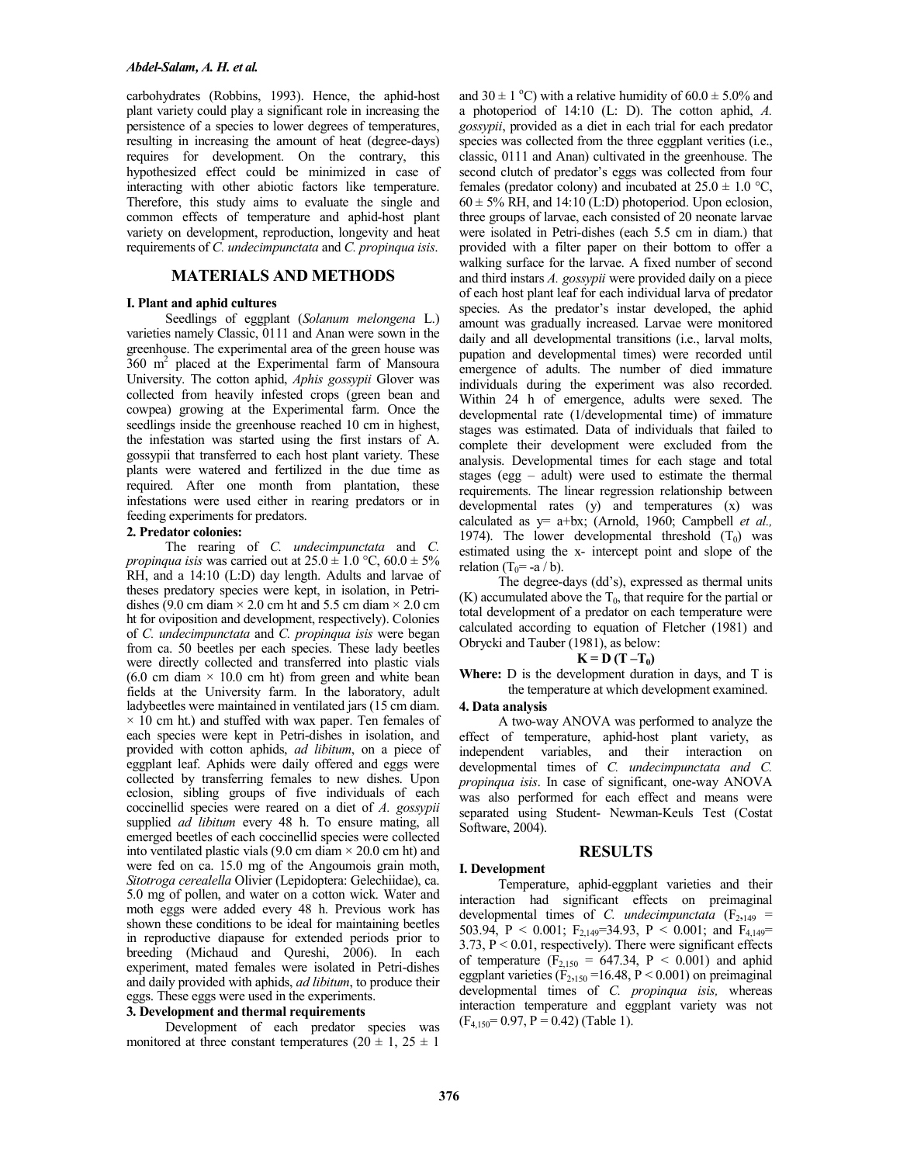carbohydrates (Robbins, 1993). Hence, the aphid-host plant variety could play a significant role in increasing the persistence of a species to lower degrees of temperatures, resulting in increasing the amount of heat (degree-days) requires for development. On the contrary, this hypothesized effect could be minimized in case of interacting with other abiotic factors like temperature. Therefore, this study aims to evaluate the single and common effects of temperature and aphid-host plant variety on development, reproduction, longevity and heat requirements of *C. undecimpunctata* and *C. propinqua isis*.

## **MATERIALS AND METHODS**

#### **I. Plant and aphid cultures**

Seedlings of eggplant (*Solanum melongena* L.) varieties namely Classic, 0111 and Anan were sown in the greenhouse. The experimental area of the green house was 360 m<sup>2</sup> placed at the Experimental farm of Mansoura University. The cotton aphid, *Aphis gossypii* Glover was collected from heavily infested crops (green bean and cowpea) growing at the Experimental farm. Once the seedlings inside the greenhouse reached 10 cm in highest, the infestation was started using the first instars of A. gossypii that transferred to each host plant variety. These plants were watered and fertilized in the due time as required. After one month from plantation, these infestations were used either in rearing predators or in feeding experiments for predators.

#### **2. Predator colonies:**

The rearing of *C. undecimpunctata* and *C. propinqua isis* was carried out at  $25.0 \pm 1.0$  °C,  $60.0 \pm 5\%$ RH, and a 14:10 (L:D) day length. Adults and larvae of theses predatory species were kept, in isolation, in Petridishes (9.0 cm diam  $\times$  2.0 cm ht and 5.5 cm diam  $\times$  2.0 cm ht for oviposition and development, respectively). Colonies of *C. undecimpunctata* and *C. propinqua isis* were began from ca. 50 beetles per each species. These lady beetles were directly collected and transferred into plastic vials  $(6.0 \text{ cm} \text{ diam} \times 10.0 \text{ cm} \text{ ht})$  from green and white bean fields at the University farm. In the laboratory, adult ladybeetles were maintained in ventilated jars (15 cm diam.  $\times$  10 cm ht.) and stuffed with wax paper. Ten females of each species were kept in Petri-dishes in isolation, and provided with cotton aphids, *ad libitum*, on a piece of eggplant leaf. Aphids were daily offered and eggs were collected by transferring females to new dishes. Upon eclosion, sibling groups of five individuals of each coccinellid species were reared on a diet of *A. gossypii* supplied *ad libitum* every 48 h. To ensure mating, all emerged beetles of each coccinellid species were collected into ventilated plastic vials (9.0 cm diam  $\times$  20.0 cm ht) and were fed on ca. 15.0 mg of the Angoumois grain moth, *Sitotroga cerealella* Olivier (Lepidoptera: Gelechiidae), ca. 5.0 mg of pollen, and water on a cotton wick. Water and moth eggs were added every 48 h. Previous work has shown these conditions to be ideal for maintaining beetles in reproductive diapause for extended periods prior to breeding (Michaud and Qureshi, 2006). In each experiment, mated females were isolated in Petri-dishes and daily provided with aphids, *ad libitum*, to produce their eggs. These eggs were used in the experiments.

#### **3. Development and thermal requirements**

Development of each predator species was monitored at three constant temperatures ( $20 \pm 1$ ,  $25 \pm 1$ ) and  $30 \pm 1$  °C) with a relative humidity of  $60.0 \pm 5.0\%$  and a photoperiod of 14:10 (L: D). The cotton aphid, *A. gossypii*, provided as a diet in each trial for each predator species was collected from the three eggplant verities (i.e., classic, 0111 and Anan) cultivated in the greenhouse. The second clutch of predator's eggs was collected from four females (predator colony) and incubated at  $25.0 \pm 1.0$  °C,  $60 \pm 5\%$  RH, and 14:10 (L:D) photoperiod. Upon eclosion, three groups of larvae, each consisted of 20 neonate larvae were isolated in Petri-dishes (each 5.5 cm in diam.) that provided with a filter paper on their bottom to offer a walking surface for the larvae. A fixed number of second and third instars *A. gossypii* were provided daily on a piece of each host plant leaf for each individual larva of predator species. As the predator's instar developed, the aphid amount was gradually increased. Larvae were monitored daily and all developmental transitions (i.e., larval molts, pupation and developmental times) were recorded until emergence of adults. The number of died immature individuals during the experiment was also recorded. Within 24 h of emergence, adults were sexed. The developmental rate (1/developmental time) of immature stages was estimated. Data of individuals that failed to complete their development were excluded from the analysis. Developmental times for each stage and total stages (egg – adult) were used to estimate the thermal requirements. The linear regression relationship between developmental rates (y) and temperatures (x) was calculated as y= a+bx; (Arnold, 1960; Campbell *et al.,* 1974). The lower developmental threshold  $(T_0)$  was estimated using the x- intercept point and slope of the relation (T<sub>0</sub>= -a / b).

The degree-days (dd's), expressed as thermal units  $(K)$  accumulated above the  $T_0$ , that require for the partial or total development of a predator on each temperature were calculated according to equation of Fletcher (1981) and Obrycki and Tauber (1981), as below:

#### $K = D(T - T_0)$

**Where:** D is the development duration in days, and T is the temperature at which development examined.

#### **4. Data analysis**

A two-way ANOVA was performed to analyze the effect of temperature, aphid-host plant variety, as independent variables, and their interaction on developmental times of *C. undecimpunctata and C. propinqua isis*. In case of significant, one-way ANOVA was also performed for each effect and means were separated using Student- Newman-Keuls Test (Costat Software, 2004).

## **RESULTS**

#### **I. Development**

Temperature, aphid-eggplant varieties and their interaction had significant effects on preimaginal developmental times of *C*. *undecimpunctata*  $(F_{2,149} =$ 503.94, P < 0.001; F<sub>2,149</sub>=34.93, P < 0.001; and F<sub>4,149</sub>=  $3.73, P < 0.01$ , respectively). There were significant effects of temperature ( $F_{2,150} = 647.34$ , P < 0.001) and aphid eggplant varieties  $(F_{2,150} = 16.48, P \le 0.001)$  on preimaginal developmental times of *C. propinqua isis,* whereas interaction temperature and eggplant variety was not  $(F<sub>4,150</sub>= 0.97, P = 0.42)$  (Table 1).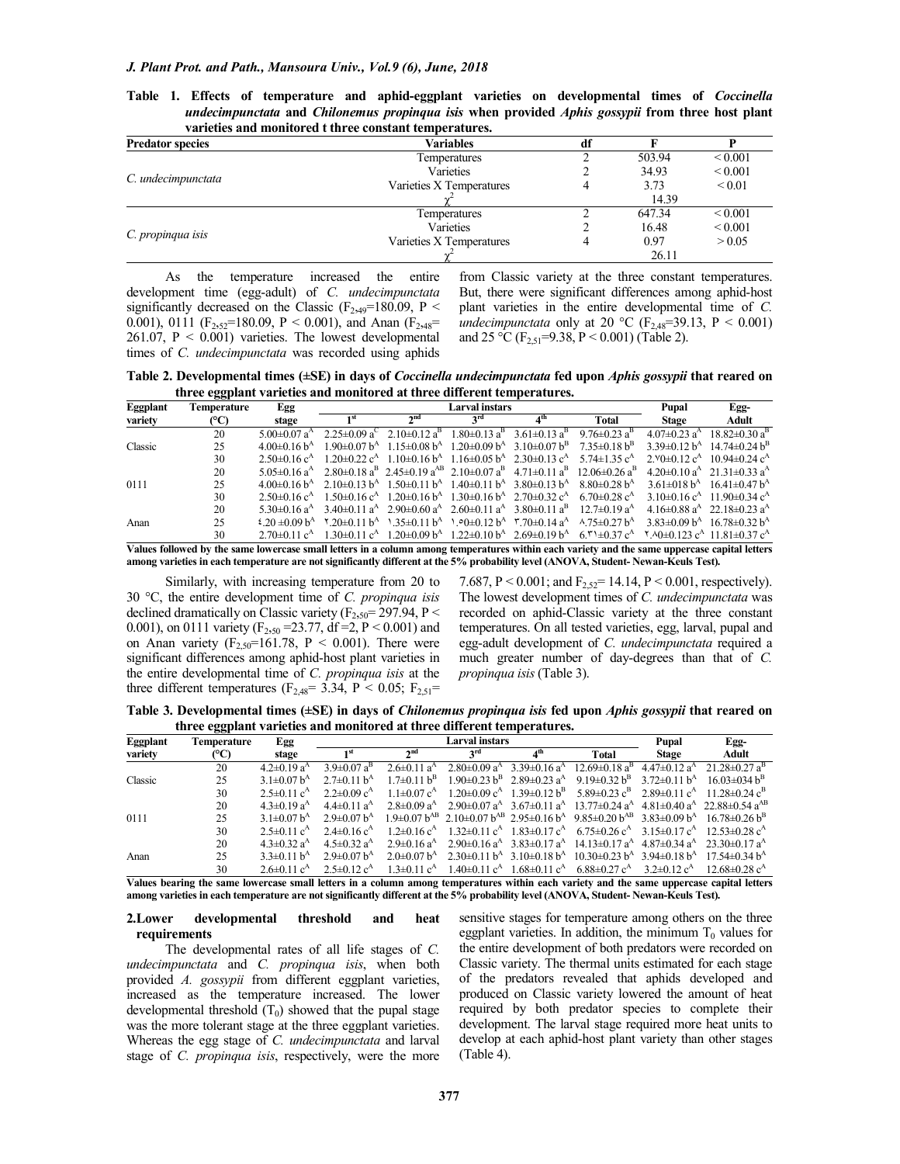|                         | varieties and monitored t three constant temperatures. |    |        |              |  |
|-------------------------|--------------------------------------------------------|----|--------|--------------|--|
| <b>Predator species</b> | Variables                                              | df |        |              |  |
|                         | Temperatures                                           |    | 503.94 | ${}_{0.001}$ |  |
|                         | Varieties                                              |    | 34.93  | ${}_{0.001}$ |  |
| C. undecimpunctata      | Varieties X Temperatures                               |    | 3.73   | ${}_{0.01}$  |  |
|                         |                                                        |    | 14.39  |              |  |
|                         | Temperatures                                           |    | 647.34 | ${}_{0.001}$ |  |
|                         | Varieties                                              |    | 16.48  | ${}_{0.001}$ |  |
| C. propinqua isis       | Varieties X Temperatures                               |    | 0.97   | > 0.05       |  |
|                         |                                                        |    | 26.11  |              |  |

**Table 1. Effects of temperature and aphid-eggplant varieties on developmental times of** *Coccinella undecimpunctata* **and** *Chilonemus propinqua isis* **when provided** *Aphis gossypii* **from three host plant varieties and monitored t three constant temperatures.** 

As the temperature increased the entire development time (egg-adult) of *C. undecimpunctata* significantly decreased on the Classic ( $F_{2,49}$ =180.09, P < 0.001), 0111 ( $F_{2,52}$ =180.09, P < 0.001), and Anan ( $F_{2,48}$ = 261.07,  $P < 0.001$ ) varieties. The lowest developmental times of *C. undecimpunctata* was recorded using aphids from Classic variety at the three constant temperatures. But, there were significant differences among aphid-host plant varieties in the entire developmental time of *C. undecimpunctata* only at 20 °C ( $F_{2,48}$ =39.13, P < 0.001) and 25 °C ( $F_{2,51}$ =9.38, P < 0.001) (Table 2).

**Table 2. Developmental times (±SE) in days of** *Coccinella undecimpunctata* **fed upon** *Aphis gossypii* **that reared on three eggplant varieties and monitored at three different temperatures.** 

| Eggplant | Temperature | Egg                            |                     |                                                                                                                                                                                                                                                 | Pupal                          | Egg-                                                                                                                    |                                                                                                                                                    |                              |                                                                             |  |
|----------|-------------|--------------------------------|---------------------|-------------------------------------------------------------------------------------------------------------------------------------------------------------------------------------------------------------------------------------------------|--------------------------------|-------------------------------------------------------------------------------------------------------------------------|----------------------------------------------------------------------------------------------------------------------------------------------------|------------------------------|-----------------------------------------------------------------------------|--|
| variety  | (°C)        | stage                          |                     | $\gamma$ nd                                                                                                                                                                                                                                     | ord                            |                                                                                                                         | Total                                                                                                                                              | <b>Stage</b>                 | Adult                                                                       |  |
|          | 20          | $5.00 \pm 0.07$ a <sup>A</sup> | $2.25 \pm 0.09 a^C$ | $2.10\pm0.12$ a <sup>B</sup>                                                                                                                                                                                                                    | $1.80 \pm 0.13$ a <sup>B</sup> | $3.61 \pm 0.13$ a <sup>B</sup>                                                                                          | 9.76 $\pm$ 0.23 a <sup>B</sup>                                                                                                                     | $4.07\pm0.23$ a <sup>A</sup> | $18.82 \pm 0.30 \text{ a}^{\text{B}}$                                       |  |
| Classic  | 25          | $4.00\pm0.16 h^A$              |                     | $1.90\pm0.07 h^{A}$ 1.15 $\pm$ 0.08 $h^{A}$ 1.20 $\pm$ 0.09 $h^{A}$ 3.10 $\pm$ 0.07 $h^{B}$                                                                                                                                                     |                                |                                                                                                                         | $7.35\pm0.18 h^B$                                                                                                                                  |                              | $3.39\pm0.12 h^4$ 14.74 $\pm$ 0.24 $h^B$                                    |  |
|          | 30          | $2.50\pm0.16$ c <sup>A</sup>   |                     | $1.20\pm0.22$ c <sup>A</sup> $1.10\pm0.16$ b <sup>A</sup> $1.16\pm0.05$ b <sup>A</sup> $2.30\pm0.13$ c <sup>A</sup> $5.74\pm1.35$ c <sup>A</sup>                                                                                                |                                |                                                                                                                         |                                                                                                                                                    |                              | $2.90\pm0.12$ $c^4$ 10.94 $\pm$ 0.24 $c^4$                                  |  |
| 0111     | 20          | $5.05 \pm 0.16$ a <sup>A</sup> |                     |                                                                                                                                                                                                                                                 |                                |                                                                                                                         | $2.80\pm0.18$ a <sup>B</sup> $2.45\pm0.19$ a <sup>AB</sup> $2.10\pm0.07$ a <sup>B</sup> $4.71\pm0.11$ a <sup>B</sup> $12.06\pm0.26$ a <sup>B</sup> |                              | $4.20\pm0.10$ a <sup>A</sup> $21.31\pm0.33$ a <sup>A</sup>                  |  |
|          | 25          | $4.00\pm0.16 h^A$              |                     | $2.10\pm0.13$ b <sup>A</sup> $1.50\pm0.11$ b <sup>A</sup> $1.40\pm0.11$ b <sup>A</sup> $3.80\pm0.13$ b <sup>A</sup> $8.80\pm0.28$ b <sup>A</sup>                                                                                                |                                |                                                                                                                         |                                                                                                                                                    |                              | $3.61\pm0.18 \text{ h}^4$ $16.41\pm0.47 \text{ h}^4$                        |  |
|          | 30          | $2.50\pm0.16$ c <sup>A</sup>   |                     | $1.50\pm0.16$ c <sup>A</sup> $1.20\pm0.16$ k <sup>A</sup> $1.30\pm0.16$ k <sup>A</sup> $2.70\pm0.32$ c <sup>A</sup> $6.70\pm0.28$ c <sup>A</sup>                                                                                                |                                |                                                                                                                         |                                                                                                                                                    |                              | $3.10\pm0.16$ c <sup>A</sup> 11.90 $\pm$ 0.34 c <sup>A</sup>                |  |
|          | 20          | $5.30\pm0.16$ a <sup>A</sup>   |                     | $3.40\pm0.11$ a <sup>A</sup> $2.90\pm0.60$ a <sup>A</sup> $2.60\pm0.11$ a <sup>A</sup> $3.80\pm0.11$ a <sup>B</sup> $12.7\pm0.19$ a <sup>A</sup>                                                                                                |                                |                                                                                                                         |                                                                                                                                                    |                              | $4.16\pm0.88$ a <sup>A</sup> 22.18 $\pm$ 0.23 a <sup>A</sup>                |  |
| Anan     | 25          | $20 \pm 0.09 h^4$              |                     | $\frac{\text{Y}}{\text{20}\pm0.11}$ b <sup>A</sup> $\frac{\text{35}\pm0.11}{\text{6}}$ b <sup>A</sup> $\frac{\text{90}\pm0.12}{\text{6}}$ b <sup>A</sup> $\frac{\text{90}\pm0.14}{\text{6}}$ a <sup>A</sup> $\frac{\text{90}\pm0.27}{\text{6}}$ |                                |                                                                                                                         |                                                                                                                                                    |                              | $3.83\pm0.09 h^{A}$ 16.78 $\pm$ 0.32 h <sup>A</sup>                         |  |
|          | 30          | $2.70\pm0.11$ c <sup>A</sup>   | $1.30\pm0.11$ $c^A$ |                                                                                                                                                                                                                                                 |                                | $1.20\pm0.09$ b <sup>A</sup> $1.22\pm0.10$ b <sup>A</sup> $2.69\pm0.19$ b <sup>A</sup> $6.5$ + $\pm0.37$ c <sup>A</sup> |                                                                                                                                                    |                              | $\frac{1}{2}$ A0 $\pm$ 0.123 c <sup>A</sup> 11.81 $\pm$ 0.37 c <sup>A</sup> |  |
|          |             |                                |                     |                                                                                                                                                                                                                                                 |                                |                                                                                                                         |                                                                                                                                                    |                              | .                                                                           |  |

**Values followed by the same lowercase small letters in a column among temperatures within each variety and the same uppercase capital letters among varieties in each temperature are not significantly different at the 5% probability level (ANOVA, Student- Newan-Keuls Test).**

Similarly, with increasing temperature from 20 to 30 °C, the entire development time of *C. propinqua isis* declined dramatically on Classic variety (F<sub>2,50</sub>= 297.94, P < 0.001), on 0111 variety (F<sub>2,50</sub> = 23.77, df = 2, P < 0.001) and on Anan variety  $(F_{2.50} = 161.78, P < 0.001)$ . There were significant differences among aphid-host plant varieties in the entire developmental time of *C. propinqua isis* at the three different temperatures ( $F_{2,48}$ = 3.34, P < 0.05;  $F_{2,51}$ =

7.687, P < 0.001; and  $F_{2.52}$  = 14.14, P < 0.001, respectively). The lowest development times of *C. undecimpunctata* was recorded on aphid-Classic variety at the three constant temperatures. On all tested varieties, egg, larval, pupal and egg-adult development of *C. undecimpunctata* required a much greater number of day-degrees than that of *C. propinqua isis* (Table 3).

**Table 3. Developmental times (±SE) in days of** *Chilonemus propinqua isis* **fed upon** *Aphis gossypii* **that reared on three eggplant varieties and monitored at three different temperatures.** 

| Eggplant | Temperature | Egg                           |                               |                               | Pupal                                                     | Egg-                                                              |                                                               |                              |                                                                                                                                                                                            |  |
|----------|-------------|-------------------------------|-------------------------------|-------------------------------|-----------------------------------------------------------|-------------------------------------------------------------------|---------------------------------------------------------------|------------------------------|--------------------------------------------------------------------------------------------------------------------------------------------------------------------------------------------|--|
| variety  | (°C)        | stage                         | $\gamma$ nd                   |                               | 3 <sup>rd</sup>                                           | ⊿ <sup>th</sup>                                                   | Total                                                         | <b>Stage</b>                 | Adult                                                                                                                                                                                      |  |
|          | 20          | $4.2\pm 0.19$ a <sup>A</sup>  | $3.9\pm0.07$ a <sup>B</sup>   | $2.6 \pm 0.11$ a <sup>A</sup> | $2.80\pm0.09$ a <sup>A</sup>                              | $3.39\pm0.16$ a <sup>A</sup>                                      | $12.69 \pm 0.18$ a <sup>B</sup>                               | $4.47\pm0.12$ a <sup>A</sup> | $21.28 \pm 0.27$ a <sup>B</sup>                                                                                                                                                            |  |
| Classic  | 25          | 3.1 $\pm$ 0.07 $h^A$          | $2.7\pm0.11 h^{A}$            | $1.7\pm0.11 h^B$              |                                                           | $1.90\pm0.23 \text{ h}^{\text{B}}$ 2.89 $\pm$ 0.23 a <sup>A</sup> | 9.19 $\pm$ 0.32 b <sup>B</sup> 3.72 $\pm$ 0.11 b <sup>A</sup> |                              | $16.03\pm0.34 h^{B}$                                                                                                                                                                       |  |
|          | 30          | $2.5 \pm 0.11$ c <sup>A</sup> | $2.2 \pm 0.09$ c <sup>A</sup> | $1.1\pm 0.07$ $c^A$           | $1.20\pm0.09$ c <sup>A</sup> $1.39\pm0.12$ b <sup>B</sup> |                                                                   | $5.89\pm0.23$ $c^B$ $2.89\pm0.11$ $c^A$                       |                              | $11.28\pm0.24$ $c^{\rm B}$                                                                                                                                                                 |  |
| 0111     | 20          | $4.3 \pm 0.19$ a <sup>A</sup> | $4.4\pm 0.11$ a <sup>A</sup>  | $2.8\pm 0.09$ a <sup>A</sup>  |                                                           |                                                                   |                                                               |                              | $2.90\pm0.07$ a <sup>A</sup> 3.67 $\pm$ 0.11 a <sup>A</sup> 13.77 $\pm$ 0.24 a <sup>A</sup> 4.81 $\pm$ 0.40 a <sup>A</sup> 22.88 $\pm$ 0.54 a <sup>AB</sup>                                |  |
|          | 25          | $3.1\pm0.07$ b <sup>A</sup>   | $2.9 \pm 0.07 h^A$            |                               |                                                           |                                                                   |                                                               |                              | $1.9\pm0.07$ b <sup>AB</sup> 2.10 $\pm$ 0.07 b <sup>AB</sup> 2.95 $\pm$ 0.16 b <sup>A</sup> 9.85 $\pm$ 0.20 b <sup>AB</sup> 3.83 $\pm$ 0.09 b <sup>A</sup> 16.78 $\pm$ 0.26 b <sup>B</sup> |  |
|          | 30          | $2.5\pm0.11$ $c^A$            | $2.4\pm 0.16$ c <sup>A</sup>  | $1.2\pm0.16$ c <sup>A</sup>   | $1.32\pm0.11$ c <sup>A</sup> $1.83\pm0.17$ c <sup>A</sup> |                                                                   | $6.75 \pm 0.26$ c <sup>A</sup> 3.15 $\pm$ 0.17 c <sup>A</sup> |                              | $12.53\pm0.28$ $c^A$                                                                                                                                                                       |  |
| Anan     | 20          | $4.3 \pm 0.32$ a <sup>A</sup> | $4.5 \pm 0.32$ a <sup>A</sup> | $2.9 \pm 0.16$ a <sup>A</sup> |                                                           |                                                                   |                                                               |                              | $2.90\pm0.16$ a <sup>A</sup> 3.83 $\pm$ 0.17 a <sup>A</sup> 14.13 $\pm$ 0.17 a <sup>A</sup> 4.87 $\pm$ 0.34 a <sup>A</sup> 23.30 $\pm$ 0.17 a <sup>A</sup>                                 |  |
|          | 25          | $3.3\pm0.11 h^{A}$            | $2.9 \pm 0.07 h^A$            | $2.0\pm 0.07 h^A$             |                                                           | $2.30\pm0.11 h^{A}$ 3.10 $\pm$ 0.18 $h^{A}$                       | $10.30\pm0.23$ b <sup>A</sup> 3.94 $\pm$ 0.18 b <sup>A</sup>  |                              | $17.54\pm0.34 h^A$                                                                                                                                                                         |  |
|          | 30          | $2.6\pm0.11$ c <sup>A</sup>   | $2.5 \pm 0.12$ c <sup>A</sup> | $1.3 \pm 0.11$ c <sup>A</sup> |                                                           | $1.40\pm0.11$ $c^A$ $1.68\pm0.11$ $c^A$                           | $6.88\pm0.27$ c <sup>A</sup> $3.2\pm0.12$ c <sup>A</sup>      |                              | $12.68\pm0.28$ c <sup>A</sup>                                                                                                                                                              |  |

**Values bearing the same lowercase small letters in a column among temperatures within each variety and the same uppercase capital letters among varieties in each temperature are not significantly different at the 5% probability level (ANOVA, Student- Newan-Keuls Test).** 

#### **2.Lower developmental threshold and heat requirements**

The developmental rates of all life stages of *C. undecimpunctata* and *C. propinqua isis*, when both provided *A. gossypii* from different eggplant varieties, increased as the temperature increased. The lower developmental threshold  $(T_0)$  showed that the pupal stage was the more tolerant stage at the three eggplant varieties. Whereas the egg stage of *C. undecimpunctata* and larval stage of *C. propinqua isis*, respectively, were the more

sensitive stages for temperature among others on the three eggplant varieties. In addition, the minimum  $T_0$  values for the entire development of both predators were recorded on Classic variety. The thermal units estimated for each stage of the predators revealed that aphids developed and produced on Classic variety lowered the amount of heat required by both predator species to complete their development. The larval stage required more heat units to develop at each aphid-host plant variety than other stages (Table 4).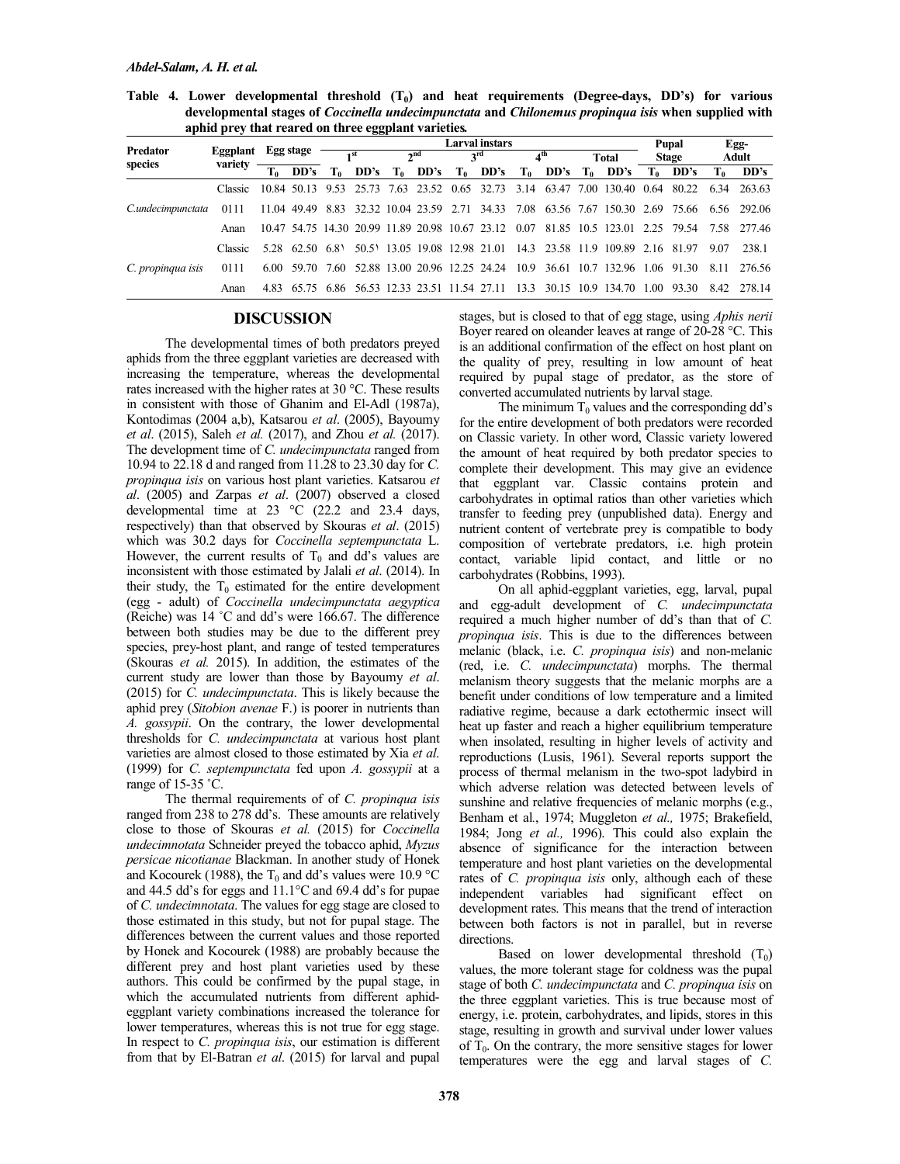**Table 4. Lower developmental threshold (T0) and heat requirements (Degree-days, DD's) for various developmental stages of** *Coccinella undecimpunctata* **and** *Chilonemus propinqua isis* **when supplied with aphid prey that reared on three eggplant varieties***.* 

| Predator          |          | Egg stage |      | Larval instars  |      |  |                     |  |                             |                 |  |              |                                                                                 | Pupal        |       | Egg-  |                                                                                               |
|-------------------|----------|-----------|------|-----------------|------|--|---------------------|--|-----------------------------|-----------------|--|--------------|---------------------------------------------------------------------------------|--------------|-------|-------|-----------------------------------------------------------------------------------------------|
|                   | Eggplant |           |      | $\mathbf{I}$ st |      |  | $\lambda$ nd<br>2rd |  |                             | 4 <sup>th</sup> |  | <b>Total</b> |                                                                                 | <b>Stage</b> |       | Adult |                                                                                               |
| species           | variety  | $T_0$     | DD's | T0              | DD's |  |                     |  | $T_0$ DD's $T_0$ DD's $T_0$ |                 |  |              | $DD's$ $T_0$ $DD's$ $T_0$ $DD's$                                                |              |       | To    | DD's                                                                                          |
| C.undecimpunctata | Classic  |           |      |                 |      |  |                     |  |                             |                 |  |              | 10.84 50.13 9.53 25.73 7.63 23.52 0.65 32.73 3.14 63.47 7.00 130.40 0.64        |              | 80.22 | 6.34  | 263.63                                                                                        |
|                   | 0111     |           |      |                 |      |  |                     |  |                             |                 |  |              |                                                                                 |              |       |       | 11.04 49.49 8.83 32.32 10.04 23.59 2.71 34.33 7.08 63.56 7.67 150.30 2.69 75.66 6.56 292.06   |
|                   | Anan     |           |      |                 |      |  |                     |  |                             |                 |  |              |                                                                                 |              |       |       | 10.47 54.75 14.30 20.99 11.89 20.98 10.67 23.12 0.07 81.85 10.5 123.01 2.25 79.54 7.58 277.46 |
| C. propinqua isis | Classic. |           |      |                 |      |  |                     |  |                             |                 |  |              | 5.28 62.50 6.81 50.51 13.05 19.08 12.98 21.01 14.3 23.58 11.9 109.89 2.16 81.97 |              |       | 907   | 238.1                                                                                         |
|                   | 0111     |           |      |                 |      |  |                     |  |                             |                 |  |              | 6.00 59.70 7.60 52.88 13.00 20.96 12.25 24.24 10.9 36.61 10.7 132.96 1.06 91.30 |              |       | -8.11 | -276.56                                                                                       |
|                   | Anan     |           |      |                 |      |  |                     |  |                             |                 |  |              | 4.83 65.75 6.86 56.53 12.33 23.51 11.54 27.11 13.3 30.15 10.9 134.70 1.00 93.30 |              |       | 842   | 278.14                                                                                        |

## **DISCUSSION**

The developmental times of both predators preyed aphids from the three eggplant varieties are decreased with increasing the temperature, whereas the developmental rates increased with the higher rates at 30 °C. These results in consistent with those of Ghanim and El-Adl (1987a), Kontodimas (2004 a,b), Katsarou *et al*. (2005), Bayoumy *et al*. (2015), Saleh *et al.* (2017), and Zhou *et al.* (2017). The development time of *C. undecimpunctata* ranged from 10.94 to 22.18 d and ranged from 11.28 to 23.30 day for *C. propinqua isis* on various host plant varieties. Katsarou *et al*. (2005) and Zarpas *et al*. (2007) observed a closed developmental time at 23  $\degree$ C (22.2 and 23.4 days, respectively) than that observed by Skouras *et al*. (2015) which was 30.2 days for *Coccinella septempunctata* L. However, the current results of  $T_0$  and dd's values are inconsistent with those estimated by Jalali *et al*. (2014). In their study, the  $T_0$  estimated for the entire development (egg - adult) of *Coccinella undecimpunctata aegyptica*  (Reiche) was 14 ˚C and dd's were 166.67. The difference between both studies may be due to the different prey species, prey-host plant, and range of tested temperatures (Skouras *et al.* 2015). In addition, the estimates of the current study are lower than those by Bayoumy *et al*. (2015) for *C. undecimpunctata*. This is likely because the aphid prey (*Sitobion avenae* F.) is poorer in nutrients than *A. gossypii*. On the contrary, the lower developmental thresholds for *C. undecimpunctata* at various host plant varieties are almost closed to those estimated by Xia *et al*. (1999) for *C. septempunctata* fed upon *A. gossypii* at a range of 15-35 °C.

The thermal requirements of of *C. propinqua isis* ranged from 238 to 278 dd's. These amounts are relatively close to those of Skouras *et al.* (2015) for *Coccinella undecimnotata* Schneider preyed the tobacco aphid, *Myzus persicae nicotianae* Blackman. In another study of Honek and Kocourek (1988), the  $T_0$  and dd's values were 10.9 °C and 44.5 dd's for eggs and 11.1°C and 69.4 dd's for pupae of *C. undecimnotata*. The values for egg stage are closed to those estimated in this study, but not for pupal stage. The differences between the current values and those reported by Honek and Kocourek (1988) are probably because the different prey and host plant varieties used by these authors. This could be confirmed by the pupal stage, in which the accumulated nutrients from different aphideggplant variety combinations increased the tolerance for lower temperatures, whereas this is not true for egg stage. In respect to *C. propinqua isis*, our estimation is different from that by El-Batran *et al*. (2015) for larval and pupal stages, but is closed to that of egg stage, using *Aphis nerii* Boyer reared on oleander leaves at range of 20-28 °C. This is an additional confirmation of the effect on host plant on the quality of prey, resulting in low amount of heat required by pupal stage of predator, as the store of converted accumulated nutrients by larval stage.

The minimum  $T_0$  values and the corresponding dd's for the entire development of both predators were recorded on Classic variety. In other word, Classic variety lowered the amount of heat required by both predator species to complete their development. This may give an evidence that eggplant var. Classic contains protein and carbohydrates in optimal ratios than other varieties which transfer to feeding prey (unpublished data). Energy and nutrient content of vertebrate prey is compatible to body composition of vertebrate predators, i.e. high protein contact, variable lipid contact, and little or no carbohydrates (Robbins, 1993).

On all aphid-eggplant varieties, egg, larval, pupal and egg-adult development of *C. undecimpunctata* required a much higher number of dd's than that of *C. propinqua isis*. This is due to the differences between melanic (black, i.e. *C. propinqua isis*) and non-melanic (red, i.e. *C. undecimpunctata*) morphs. The thermal melanism theory suggests that the melanic morphs are a benefit under conditions of low temperature and a limited radiative regime, because a dark ectothermic insect will heat up faster and reach a higher equilibrium temperature when insolated, resulting in higher levels of activity and reproductions (Lusis, 1961). Several reports support the process of thermal melanism in the two-spot ladybird in which adverse relation was detected between levels of sunshine and relative frequencies of melanic morphs (e.g., Benham et al*.*, 1974; Muggleton *et al.,* 1975; Brakefield, 1984; Jong *et al.,* 1996). This could also explain the absence of significance for the interaction between temperature and host plant varieties on the developmental rates of *C. propinqua isis* only, although each of these independent variables had significant effect on development rates. This means that the trend of interaction between both factors is not in parallel, but in reverse directions.

Based on lower developmental threshold  $(T_0)$ values, the more tolerant stage for coldness was the pupal stage of both *C. undecimpunctata* and *C. propinqua isis* on the three eggplant varieties. This is true because most of energy, i.e. protein, carbohydrates, and lipids, stores in this stage, resulting in growth and survival under lower values of  $T_0$ . On the contrary, the more sensitive stages for lower temperatures were the egg and larval stages of *C.*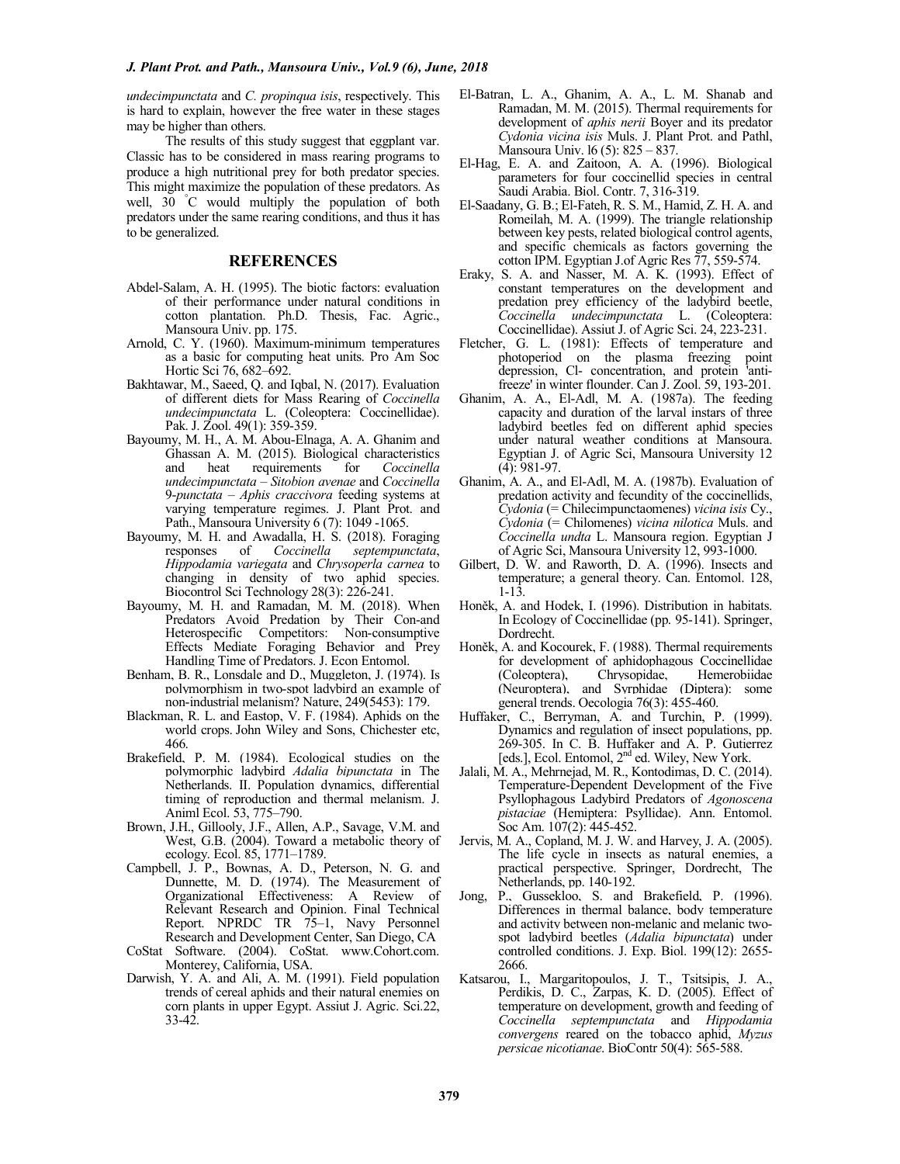*undecimpunctata* and *C. propinqua isis*, respectively. This is hard to explain, however the free water in these stages may be higher than others.

The results of this study suggest that eggplant var. Classic has to be considered in mass rearing programs to produce a high nutritional prey for both predator species. This might maximize the population of these predators. As well, 30 °C would multiply the population of both predators under the same rearing conditions, and thus it has to be generalized.

#### **REFERENCES**

- Abdel-Salam, A. H. (1995). The biotic factors: evaluation of their performance under natural conditions in cotton plantation. Ph.D. Thesis, Fac. Agric., Mansoura Univ. pp. 175.
- Arnold, C. Y. (1960). Maximum-minimum temperatures as a basic for computing heat units. Pro Am Soc Hortic Sci 76, 682–692.
- Bakhtawar, M., Saeed, Q. and Iqbal, N. (2017). Evaluation of different diets for Mass Rearing of *Coccinella undecimpunctata* L. (Coleoptera: Coccinellidae). Pak. J. Zool. 49(1): 359-359.
- Bayoumy, M. H., A. M. Abou-Elnaga, A. A. Ghanim and Ghassan A. M. (2015). Biological characteristics and heat requirements for *Coccinella undecimpunctata* – *Sitobion avenae* and *Coccinella* 9-*punctata* – *Aphis craccivora* feeding systems at varying temperature regimes. J. Plant Prot. and Path., Mansoura University 6 (7): 1049 -1065.
- Bayoumy, M. H. and Awadalla, H. S. (2018). Foraging<br>responses of *Coccinella septempunctata*, responses of *Coccinella septempunctata*, *Hippodamia variegata* and *Chrysoperla carnea* to changing in density of two aphid species. Biocontrol Sci Technology 28(3): 226-241.
- Bayoumy, M. H. and Ramadan, M. M. (2018). When Predators Avoid Predation by Their Con-and Heterospecific Competitors: Non-consumptive Effects Mediate Foraging Behavior and Prey Handling Time of Predators. J. Econ Entomol.
- Benham, B. R., Lonsdale and D., Muggleton, J. (1974). Is polymorphism in two-spot ladybird an example of non-industrial melanism? Nature, 249(5453): 179.
- Blackman, R. L. and Eastop, V. F. (1984). Aphids on the world crops. John Wiley and Sons, Chichester etc, 466.
- Brakefield, P. M. (1984). Ecological studies on the polymorphic ladybird *Adalia bipunctata* in The Netherlands. II. Population dynamics, differential timing of reproduction and thermal melanism. J. Animl Ecol. 53, 775–790.
- Brown, J.H., Gillooly, J.F., Allen, A.P., Savage, V.M. and West, G.B. (2004). Toward a metabolic theory of ecology. Ecol. 85, 1771–1789.
- Campbell, J. P., Bownas, A. D., Peterson, N. G. and Dunnette, M. D. (1974). The Measurement of Organizational Effectiveness: A Review of Relevant Research and Opinion. Final Technical Report. NPRDC TR 75–1, Navy Personnel Research and Development Center, San Diego, CA
- CoStat Software. (2004). CoStat. www.Cohort.com. Monterey, California, USA.
- Darwish, Y. A. and Ali, A. M. (1991). Field population trends of cereal aphids and their natural enemies on corn plants in upper Egypt. Assiut J. Agric. Sci.22, 33-42.
- El-Batran, L. A., Ghanim, A. A., L. M. Shanab and Ramadan, M. M. (2015). Thermal requirements for development of *aphis nerii* Boyer and its predator *Cydonia vicina isis* Muls. J. Plant Prot. and Pathl, Mansoura Univ. l6 (5): 825 – 837.
- El-Hag, E. A. and Zaitoon, A. A. (1996). Biological parameters for four coccinellid species in central Saudi Arabia. Biol. Contr. 7, 316-319.
- El-Saadany, G. B.; El-Fateh, R. S. M., Hamid, Z. H. A. and Romeilah, M. A. (1999). The triangle relationship between key pests, related biological control agents, and specific chemicals as factors governing the cotton IPM. Egyptian J.of Agric Res 77, 559-574.
- Eraky, S. A. and Nasser, M. A. K. (1993). Effect of constant temperatures on the development and predation prey efficiency of the ladybird beetle, *Coccinella undecimpunctata* L. (Coleoptera: Coccinellidae). Assiut J. of Agric Sci. 24, 223-231.
- Fletcher, G. L. (1981): Effects of temperature and photoperiod on the plasma freezing point depression, Cl- concentration, and protein 'antifreeze' in winter flounder. Can J. Zool. 59, 193-201.
- Ghanim, A. A., El-Adl, M. A. (1987a). The feeding capacity and duration of the larval instars of three ladybird beetles fed on different aphid species under natural weather conditions at Mansoura. Egyptian J. of Agric Sci, Mansoura University 12  $(4)$ : 981-97.
- Ghanim, A. A., and El-Adl, M. A. (1987b). Evaluation of predation activity and fecundity of the coccinellids, *Cydonia* (= Chilecimpunctaomenes) *vicina isis* Cy., *Cydonia* (= Chilomenes) *vicina nilotica* Muls. and *Coccinella undta* L. Mansoura region. Egyptian J of Agric Sci, Mansoura University 12, 993-1000.
- Gilbert, D. W. and Raworth, D. A. (1996). Insects and temperature; a general theory. Can. Entomol. 128, 1-13.
- Honěk, A. and Hodek, I. (1996). Distribution in habitats. In Ecology of Coccinellidae (pp. 95-141). Springer, Dordrecht.
- Honěk, A. and Kocourek, F. (1988). Thermal requirements for development of aphidophagous Coccinellidae (Coleoptera), Chrysopidae, Hemerobiidae (Neuroptera), and Syrphidae (Diptera): some general trends. Oecologia 76(3): 455-460.
- Huffaker, C., Berryman, A. and Turchin, P. (1999). Dynamics and regulation of insect populations, pp. 269-305. In C. B. Huffaker and A. P. Gutierrez [eds.], Ecol. Entomol, 2nd ed. Wiley, New York.
- Jalali, M. A., Mehrnejad, M. R., Kontodimas, D. C. (2014). Temperature-Dependent Development of the Five Psyllophagous Ladybird Predators of *Agonoscena pistaciae* (Hemiptera: Psyllidae). Ann. Entomol. Soc Am. 107(2): 445-452.
- Jervis, M. A., Copland, M. J. W. and Harvey, J. A. (2005). The life cycle in insects as natural enemies, a practical perspective. Springer, Dordrecht, The Netherlands, pp. 140-192.
- Jong, P., Gussekloo, S. and Brakefield, P. (1996). Differences in thermal balance, body temperature and activity between non-melanic and melanic twospot ladybird beetles (*Adalia bipunctata*) under controlled conditions. J. Exp. Biol. 199(12): 2655- 2666.
- Katsarou, I., Margaritopoulos, J. T., Tsitsipis, J. A., Perdikis, D. C., Zarpas, K. D. (2005). Effect of temperature on development, growth and feeding of *Coccinella septempunctata* and *Hippodamia convergens* reared on the tobacco aphid, *Myzus persicae nicotianae*. BioContr 50(4): 565-588.